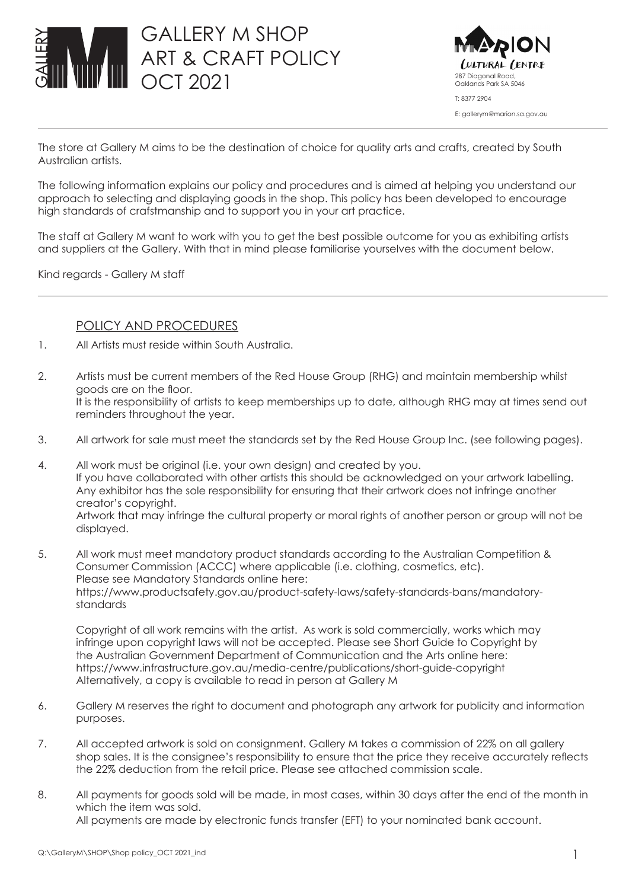



The store at Gallery M aims to be the destination of choice for quality arts and crafts, created by South Australian artists.

The following information explains our policy and procedures and is aimed at helping you understand our approach to selecting and displaying goods in the shop. This policy has been developed to encourage high standards of crafstmanship and to support you in your art practice.

The staff at Gallery M want to work with you to get the best possible outcome for you as exhibiting artists and suppliers at the Gallery. With that in mind please familiarise yourselves with the document below.

Kind regards - Gallery M staff

## POLICY AND PROCEDURES

- 1. All Artists must reside within South Australia.
- 2. Artists must be current members of the Red House Group (RHG) and maintain membership whilst goods are on the floor. It is the responsibility of artists to keep memberships up to date, although RHG may at times send out reminders throughout the year.
- 3. All artwork for sale must meet the standards set by the Red House Group Inc. (see following pages).
- 4. All work must be original (i.e. your own design) and created by you. If you have collaborated with other artists this should be acknowledged on your artwork labelling. Any exhibitor has the sole responsibility for ensuring that their artwork does not infringe another creator's copyright. Artwork that may infringe the cultural property or moral rights of another person or group will not be displayed.
- 5. All work must meet mandatory product standards according to the Australian Competition & Consumer Commission (ACCC) where applicable (i.e. clothing, cosmetics, etc). Please see Mandatory Standards online here: https://www.productsafety.gov.au/product-safety-laws/safety-standards-bans/mandatorystandards

Copyright of all work remains with the artist. As work is sold commercially, works which may infringe upon copyright laws will not be accepted. Please see Short Guide to Copyright by the Australian Government Department of Communication and the Arts online here: https://www.infrastructure.gov.au/media-centre/publications/short-guide-copyright Alternatively, a copy is available to read in person at Gallery M

- 6. Gallery M reserves the right to document and photograph any artwork for publicity and information purposes.
- 7. All accepted artwork is sold on consignment. Gallery M takes a commission of 22% on all gallery shop sales. It is the consignee's responsibility to ensure that the price they receive accurately reflects the 22% deduction from the retail price. Please see attached commission scale.
- 8. All payments for goods sold will be made, in most cases, within 30 days after the end of the month in which the item was sold. All payments are made by electronic funds transfer (EFT) to your nominated bank account.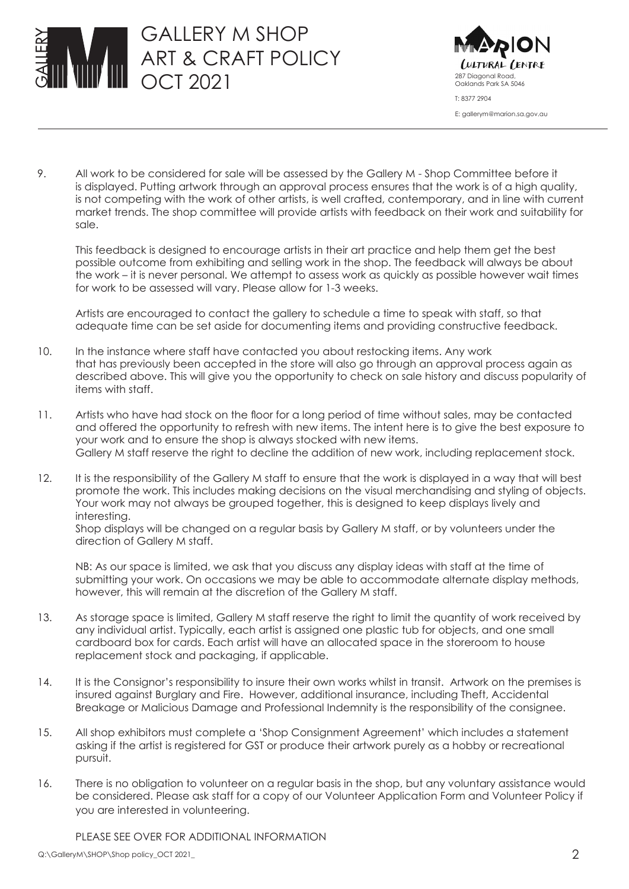



9. All work to be considered for sale will be assessed by the Gallery M - Shop Committee before it is displayed. Putting artwork through an approval process ensures that the work is of a high quality, is not competing with the work of other artists, is well crafted, contemporary, and in line with current market trends. The shop committee will provide artists with feedback on their work and suitability for sale.

This feedback is designed to encourage artists in their art practice and help them get the best possible outcome from exhibiting and selling work in the shop. The feedback will always be about the work – it is never personal. We attempt to assess work as quickly as possible however wait times for work to be assessed will vary. Please allow for 1-3 weeks.

Artists are encouraged to contact the gallery to schedule a time to speak with staff, so that adequate time can be set aside for documenting items and providing constructive feedback.

- 10. In the instance where staff have contacted you about restocking items. Any work that has previously been accepted in the store will also go through an approval process again as described above. This will give you the opportunity to check on sale history and discuss popularity of items with staff.
- 11. Artists who have had stock on the floor for a long period of time without sales, may be contacted and offered the opportunity to refresh with new items. The intent here is to give the best exposure to your work and to ensure the shop is always stocked with new items. Gallery M staff reserve the right to decline the addition of new work, including replacement stock.
- 12. It is the responsibility of the Gallery M staff to ensure that the work is displayed in a way that will best promote the work. This includes making decisions on the visual merchandising and styling of objects. Your work may not always be grouped together, this is designed to keep displays lively and interesting.

Shop displays will be changed on a regular basis by Gallery M staff, or by volunteers under the direction of Gallery M staff.

NB: As our space is limited, we ask that you discuss any display ideas with staff at the time of submitting your work. On occasions we may be able to accommodate alternate display methods, however, this will remain at the discretion of the Gallery M staff.

- 13. As storage space is limited, Gallery M staff reserve the right to limit the quantity of work received by any individual artist. Typically, each artist is assigned one plastic tub for objects, and one small cardboard box for cards. Each artist will have an allocated space in the storeroom to house replacement stock and packaging, if applicable.
- 14. It is the Consignor's responsibility to insure their own works whilst in transit. Artwork on the premises is insured against Burglary and Fire. However, additional insurance, including Theft, Accidental Breakage or Malicious Damage and Professional Indemnity is the responsibility of the consignee.
- 15. All shop exhibitors must complete a 'Shop Consignment Agreement' which includes a statement asking if the artist is registered for GST or produce their artwork purely as a hobby or recreational pursuit.
- 16. There is no obligation to volunteer on a regular basis in the shop, but any voluntary assistance would be considered. Please ask staff for a copy of our Volunteer Application Form and Volunteer Policy if you are interested in volunteering.

PLEASE SEE OVER FOR ADDITIONAL INFORMATION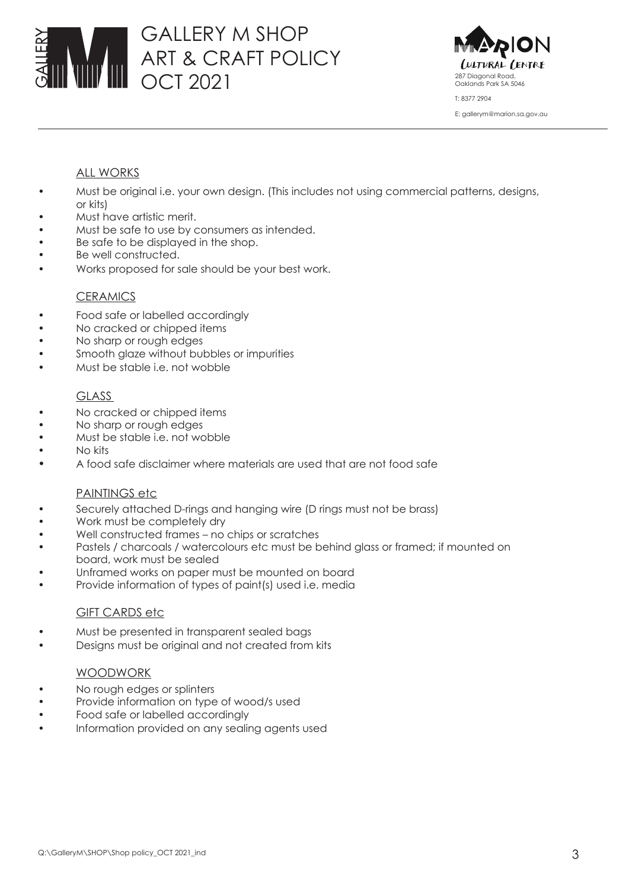# GALLERY M SHOP ART & CRAFT POLICY OCT 2021 287 Diagonal Road,



## ALL WORKS

- Must be original i.e. your own design. (This includes not using commercial patterns, designs, or kits)
- Must have artistic merit.
- Must be safe to use by consumers as intended.
- Be safe to be displayed in the shop.
- Be well constructed.
- Works proposed for sale should be your best work.

#### **CERAMICS**

- Food safe or labelled accordingly
- No cracked or chipped items
- No sharp or rough edges
- Smooth glaze without bubbles or impurities
- Must be stable i.e. not wobble

## GLASS

- No cracked or chipped items
- No sharp or rough edges
- Must be stable i.e. not wobble
- • No kits
- A food safe disclaimer where materials are used that are not food safe

## PAINTINGS etc

- Securely attached D-rings and hanging wire (D rings must not be brass)
- Work must be completely dry
- Well constructed frames no chips or scratches
- Pastels / charcoals / watercolours etc must be behind glass or framed; if mounted on board, work must be sealed
- Unframed works on paper must be mounted on board
- Provide information of types of paint(s) used i.e. media

## GIFT CARDS etc

- Must be presented in transparent sealed bags
- Designs must be original and not created from kits

## WOODWORK

- No rough edges or splinters
- Provide information on type of wood/s used
- Food safe or labelled accordinaly
- Information provided on any sealing agents used